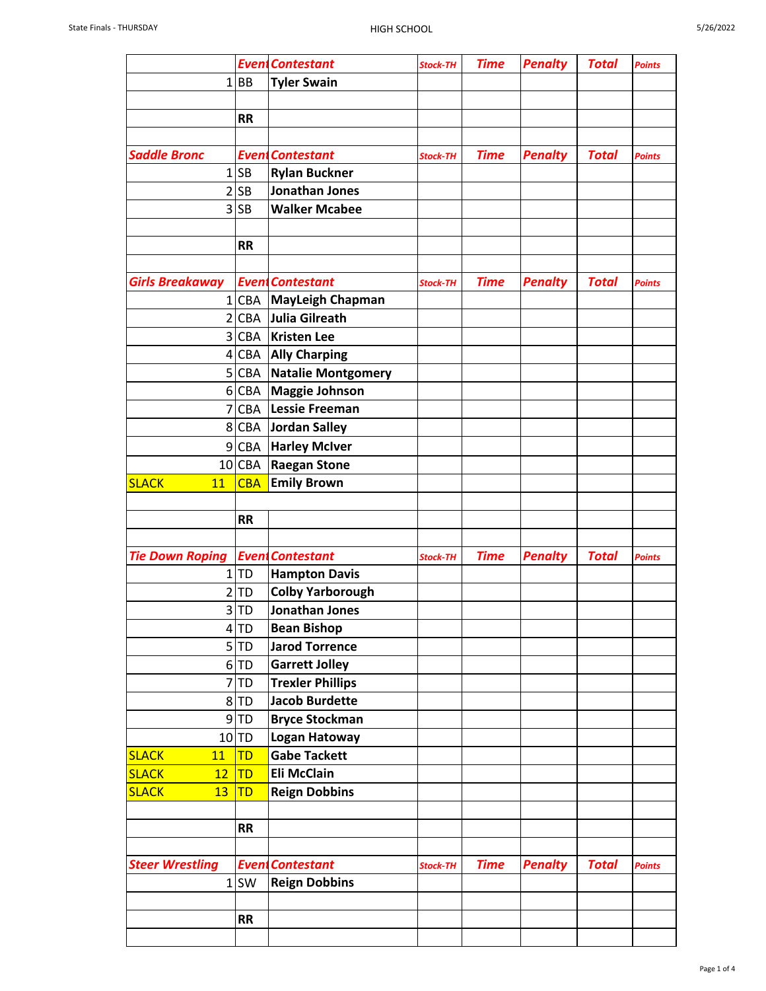|                        |            | <b>EventContestant</b>    | <b>Stock-TH</b> | <b>Time</b> | <b>Penalty</b> | <b>Total</b> | <b>Points</b> |
|------------------------|------------|---------------------------|-----------------|-------------|----------------|--------------|---------------|
|                        | 1 BB       | <b>Tyler Swain</b>        |                 |             |                |              |               |
|                        |            |                           |                 |             |                |              |               |
|                        | <b>RR</b>  |                           |                 |             |                |              |               |
|                        |            |                           |                 |             |                |              |               |
| <b>Saddle Bronc</b>    |            | <b>EventContestant</b>    | <b>Stock-TH</b> | <b>Time</b> | <b>Penalty</b> | <b>Total</b> | <b>Points</b> |
|                        | $1$ SB     | <b>Rylan Buckner</b>      |                 |             |                |              |               |
|                        | 2 SB       | <b>Jonathan Jones</b>     |                 |             |                |              |               |
|                        | $3$ SB     | <b>Walker Mcabee</b>      |                 |             |                |              |               |
|                        |            |                           |                 |             |                |              |               |
|                        | <b>RR</b>  |                           |                 |             |                |              |               |
|                        |            |                           |                 |             |                |              |               |
| <b>Girls Breakaway</b> |            | <b>Event Contestant</b>   | <b>Stock-TH</b> | <b>Time</b> | <b>Penalty</b> | <b>Total</b> | <b>Points</b> |
|                        |            | 1 CBA   MayLeigh Chapman  |                 |             |                |              |               |
|                        | 2 CBA      | <b>Julia Gilreath</b>     |                 |             |                |              |               |
|                        | 3 CBA      | <b>Kristen Lee</b>        |                 |             |                |              |               |
| $\vert 4 \vert$        | <b>CBA</b> | <b>Ally Charping</b>      |                 |             |                |              |               |
|                        | 5 CBA      | <b>Natalie Montgomery</b> |                 |             |                |              |               |
|                        | 6 CBA      | <b>Maggie Johnson</b>     |                 |             |                |              |               |
|                        | $7$ $CBA$  | <b>Lessie Freeman</b>     |                 |             |                |              |               |
|                        | 8 CBA      | Jordan Salley             |                 |             |                |              |               |
| 9                      | CBA        | <b>Harley McIver</b>      |                 |             |                |              |               |
|                        | 10 CBA     | <b>Raegan Stone</b>       |                 |             |                |              |               |
| <b>SLACK</b><br>11     | <b>CBA</b> | <b>Emily Brown</b>        |                 |             |                |              |               |
|                        |            |                           |                 |             |                |              |               |
|                        | <b>RR</b>  |                           |                 |             |                |              |               |
|                        |            |                           |                 |             |                |              |               |
| <b>Tie Down Roping</b> |            | <b>Event Contestant</b>   | <b>Stock-TH</b> | <b>Time</b> | <b>Penalty</b> | <b>Total</b> | <b>Points</b> |
|                        | 1 TD       | <b>Hampton Davis</b>      |                 |             |                |              |               |
| $\overline{2}$         | TD         | <b>Colby Yarborough</b>   |                 |             |                |              |               |
|                        | 3 TD       | Jonathan Jones            |                 |             |                |              |               |
|                        | $4$ TD     | <b>Bean Bishop</b>        |                 |             |                |              |               |
|                        | 5 TD       | <b>Jarod Torrence</b>     |                 |             |                |              |               |
|                        | 6 TD       | <b>Garrett Jolley</b>     |                 |             |                |              |               |
|                        | 7 TD       | <b>Trexler Phillips</b>   |                 |             |                |              |               |
|                        | 8TD        | <b>Jacob Burdette</b>     |                 |             |                |              |               |
|                        | $9$ TD     | <b>Bryce Stockman</b>     |                 |             |                |              |               |
|                        | 10 TD      | <b>Logan Hatoway</b>      |                 |             |                |              |               |
| <b>SLACK</b><br>11     | <b>TD</b>  | <b>Gabe Tackett</b>       |                 |             |                |              |               |
| <b>SLACK</b><br>12     | TD         | <b>Eli McClain</b>        |                 |             |                |              |               |
| <b>SLACK</b><br>13     | TD         | <b>Reign Dobbins</b>      |                 |             |                |              |               |
|                        |            |                           |                 |             |                |              |               |
|                        | <b>RR</b>  |                           |                 |             |                |              |               |
|                        |            |                           |                 |             |                |              |               |
| <b>Steer Wrestling</b> |            | <b>EventContestant</b>    | <b>Stock-TH</b> | <b>Time</b> | <b>Penalty</b> | <b>Total</b> | <b>Points</b> |
|                        | $1$ SW     | <b>Reign Dobbins</b>      |                 |             |                |              |               |
|                        |            |                           |                 |             |                |              |               |
|                        |            |                           |                 |             |                |              |               |
|                        | <b>RR</b>  |                           |                 |             |                |              |               |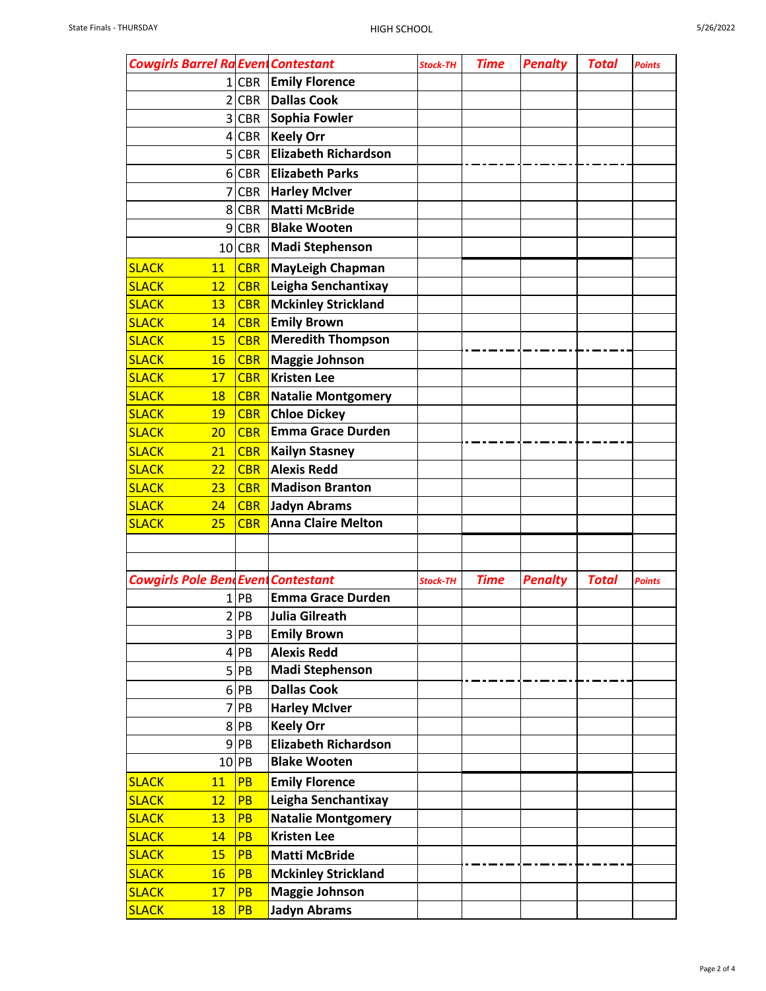| 5/26/2022 |  |
|-----------|--|

| <b>Cowgirls Barrel Ra Event Contestant</b> |                |            |                                                    | <b>Stock-TH</b> | <b>Time</b> | <b>Penalty</b> | <b>Total</b> | <b>Points</b> |
|--------------------------------------------|----------------|------------|----------------------------------------------------|-----------------|-------------|----------------|--------------|---------------|
|                                            |                | 1 CBR      | <b>Emily Florence</b>                              |                 |             |                |              |               |
|                                            | $\overline{2}$ | <b>CBR</b> | <b>Dallas Cook</b>                                 |                 |             |                |              |               |
|                                            | 3              | <b>CBR</b> | Sophia Fowler                                      |                 |             |                |              |               |
|                                            | $\vert$        | <b>CBR</b> | <b>Keely Orr</b>                                   |                 |             |                |              |               |
|                                            | 5              | <b>CBR</b> | <b>Elizabeth Richardson</b>                        |                 |             |                |              |               |
|                                            |                |            |                                                    |                 |             |                |              |               |
|                                            | $6\vert$       | <b>CBR</b> | <b>Elizabeth Parks</b>                             |                 |             |                |              |               |
|                                            | 7              | <b>CBR</b> | <b>Harley McIver</b>                               |                 |             |                |              |               |
|                                            | 8              | <b>CBR</b> | <b>Matti McBride</b>                               |                 |             |                |              |               |
|                                            | 9              | <b>CBR</b> | <b>Blake Wooten</b>                                |                 |             |                |              |               |
|                                            |                | $10$ CBR   | <b>Madi Stephenson</b>                             |                 |             |                |              |               |
| <b>SLACK</b>                               | 11             | <b>CBR</b> | <b>MayLeigh Chapman</b>                            |                 |             |                |              |               |
| <b>SLACK</b>                               | 12             | <b>CBR</b> | Leigha Senchantixay                                |                 |             |                |              |               |
| <b>SLACK</b>                               | 13             | <b>CBR</b> | <b>Mckinley Strickland</b>                         |                 |             |                |              |               |
| <b>SLACK</b>                               | 14             | <b>CBR</b> | <b>Emily Brown</b>                                 |                 |             |                |              |               |
| <b>SLACK</b>                               | 15             | <b>CBR</b> | <b>Meredith Thompson</b>                           |                 |             |                |              |               |
| <b>SLACK</b>                               | 16             | <b>CBR</b> | <b>Maggie Johnson</b>                              |                 |             |                |              |               |
| <b>SLACK</b>                               | 17             | <b>CBR</b> | <b>Kristen Lee</b>                                 |                 |             |                |              |               |
| <b>SLACK</b>                               | 18             | <b>CBR</b> | Natalie Montgomery                                 |                 |             |                |              |               |
| <b>SLACK</b>                               | 19             | <b>CBR</b> | <b>Chloe Dickey</b>                                |                 |             |                |              |               |
| <b>SLACK</b>                               | 20             | <b>CBR</b> | <b>Emma Grace Durden</b>                           |                 |             |                |              |               |
| <b>SLACK</b>                               | 21             | <b>CBR</b> | <b>Kailyn Stasney</b>                              |                 |             |                |              |               |
| <b>SLACK</b>                               | 22             | <b>CBR</b> | <b>Alexis Redd</b>                                 |                 |             |                |              |               |
| <b>SLACK</b>                               | 23             | <b>CBR</b> | <b>Madison Branton</b>                             |                 |             |                |              |               |
| <b>SLACK</b>                               | 24             | <b>CBR</b> | <b>Jadyn Abrams</b>                                |                 |             |                |              |               |
| <b>SLACK</b>                               | 25             | <b>CBR</b> | <b>Anna Claire Melton</b>                          |                 |             |                |              |               |
|                                            |                |            |                                                    |                 |             |                |              |               |
|                                            |                |            |                                                    |                 |             |                |              |               |
| <b>Cowgirls Pole Bent Event Contestant</b> |                |            |                                                    | <b>Stock-TH</b> | <b>Time</b> | <b>Penalty</b> | <b>Total</b> | <b>Points</b> |
|                                            |                | $1$ PB     | <b>Emma Grace Durden</b>                           |                 |             |                |              |               |
|                                            |                | 2 PB       | <b>Julia Gilreath</b>                              |                 |             |                |              |               |
|                                            |                | 3 PB       | <b>Emily Brown</b>                                 |                 |             |                |              |               |
|                                            |                | $4$ PB     | <b>Alexis Redd</b>                                 |                 |             |                |              |               |
|                                            |                | 5 PB       | <b>Madi Stephenson</b>                             |                 |             |                |              |               |
|                                            |                | 6 PB       | <b>Dallas Cook</b>                                 |                 |             |                |              |               |
|                                            |                | 7 PB       | <b>Harley McIver</b>                               |                 |             |                |              |               |
|                                            |                | 8 PB       | <b>Keely Orr</b>                                   |                 |             |                |              |               |
|                                            |                | $9$ PB     | <b>Elizabeth Richardson</b>                        |                 |             |                |              |               |
|                                            |                | $10$ PB    | <b>Blake Wooten</b>                                |                 |             |                |              |               |
| <b>SLACK</b>                               | 11             | PB         | <b>Emily Florence</b>                              |                 |             |                |              |               |
| <b>SLACK</b>                               | 12             | <b>PB</b>  | Leigha Senchantixay                                |                 |             |                |              |               |
| <b>SLACK</b>                               | 13             | <b>PB</b>  | <b>Natalie Montgomery</b>                          |                 |             |                |              |               |
| <b>SLACK</b>                               | 14             | <b>PB</b>  | <b>Kristen Lee</b>                                 |                 |             |                |              |               |
| <b>SLACK</b>                               | 15             | PB         |                                                    |                 |             |                |              |               |
| <b>SLACK</b>                               |                | PB         | <b>Matti McBride</b><br><b>Mckinley Strickland</b> |                 |             |                |              |               |
|                                            | <b>16</b>      |            |                                                    |                 |             |                |              |               |
| <b>SLACK</b>                               | 17             | PB         | <b>Maggie Johnson</b>                              |                 |             |                |              |               |
| <b>SLACK</b>                               | <b>18</b>      | <b>PB</b>  | <b>Jadyn Abrams</b>                                |                 |             |                |              |               |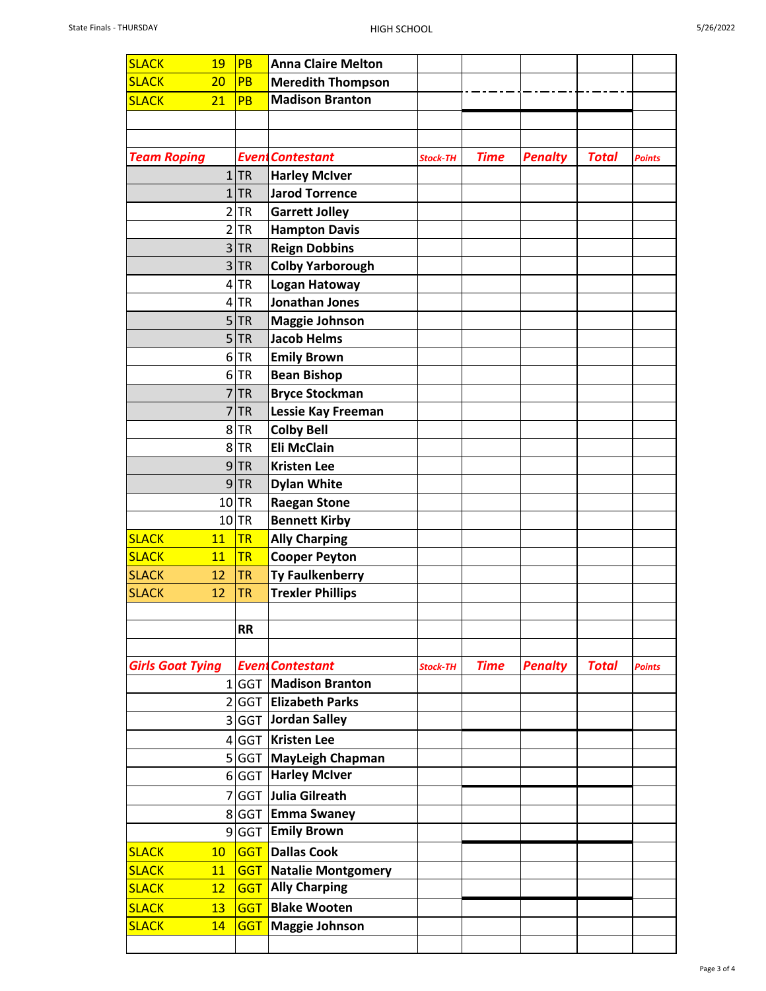| <b>SLACK</b>            | 19              | PB         | <b>Anna Claire Melton</b> |                 |             |                |              |               |
|-------------------------|-----------------|------------|---------------------------|-----------------|-------------|----------------|--------------|---------------|
| <b>SLACK</b>            | 20              | PB         | <b>Meredith Thompson</b>  |                 |             |                |              |               |
| <b>SLACK</b>            | 21              | <b>PB</b>  | <b>Madison Branton</b>    |                 |             |                |              |               |
|                         |                 |            |                           |                 |             |                |              |               |
|                         |                 |            |                           |                 |             |                |              |               |
| <b>Team Roping</b>      |                 |            | <b>Event Contestant</b>   | <b>Stock-TH</b> | <b>Time</b> | <b>Penalty</b> | <b>Total</b> | <b>Points</b> |
|                         | $\mathbf{1}$    | <b>TR</b>  | <b>Harley McIver</b>      |                 |             |                |              |               |
|                         | $\mathbf{1}$    | <b>TR</b>  | <b>Jarod Torrence</b>     |                 |             |                |              |               |
|                         | $\overline{2}$  | <b>TR</b>  | <b>Garrett Jolley</b>     |                 |             |                |              |               |
|                         | $\overline{2}$  | <b>TR</b>  | <b>Hampton Davis</b>      |                 |             |                |              |               |
|                         | 3               | <b>TR</b>  | <b>Reign Dobbins</b>      |                 |             |                |              |               |
|                         | $\overline{3}$  | <b>TR</b>  | <b>Colby Yarborough</b>   |                 |             |                |              |               |
|                         | 4               | <b>TR</b>  | Logan Hatoway             |                 |             |                |              |               |
|                         | $\vert 4 \vert$ | <b>TR</b>  | Jonathan Jones            |                 |             |                |              |               |
|                         | 5               | <b>TR</b>  | <b>Maggie Johnson</b>     |                 |             |                |              |               |
|                         | 5 <sup>1</sup>  | <b>TR</b>  | <b>Jacob Helms</b>        |                 |             |                |              |               |
|                         | 6               | <b>TR</b>  | <b>Emily Brown</b>        |                 |             |                |              |               |
|                         | 6               | <b>TR</b>  | <b>Bean Bishop</b>        |                 |             |                |              |               |
|                         | 7               | <b>TR</b>  | <b>Bryce Stockman</b>     |                 |             |                |              |               |
|                         | 7               | <b>TR</b>  | Lessie Kay Freeman        |                 |             |                |              |               |
|                         | 8               | <b>TR</b>  | <b>Colby Bell</b>         |                 |             |                |              |               |
|                         | 8               | <b>TR</b>  | <b>Eli McClain</b>        |                 |             |                |              |               |
|                         | 9               | <b>TR</b>  | <b>Kristen Lee</b>        |                 |             |                |              |               |
|                         | 9               | <b>TR</b>  | <b>Dylan White</b>        |                 |             |                |              |               |
|                         | 10              | <b>TR</b>  | <b>Raegan Stone</b>       |                 |             |                |              |               |
|                         | 10              | <b>TR</b>  | <b>Bennett Kirby</b>      |                 |             |                |              |               |
| <b>SLACK</b>            | 11              | <b>TR</b>  | <b>Ally Charping</b>      |                 |             |                |              |               |
| <b>SLACK</b>            | 11              | <b>TR</b>  | <b>Cooper Peyton</b>      |                 |             |                |              |               |
| <b>SLACK</b>            | 12              | <b>TR</b>  | <b>Ty Faulkenberry</b>    |                 |             |                |              |               |
| <b>SLACK</b>            | 12              | <b>TR</b>  | <b>Trexler Phillips</b>   |                 |             |                |              |               |
|                         |                 |            |                           |                 |             |                |              |               |
|                         |                 | <b>RR</b>  |                           |                 |             |                |              |               |
|                         |                 |            |                           |                 |             |                |              |               |
| <b>Girls Goat Tying</b> |                 |            | <b>EventContestant</b>    | <b>Stock-TH</b> | <b>Time</b> | <b>Penalty</b> | <b>Total</b> | <b>Points</b> |
|                         |                 |            | 1 GGT   Madison Branton   |                 |             |                |              |               |
|                         |                 |            | 2 GGT Elizabeth Parks     |                 |             |                |              |               |
|                         |                 |            | 3 GGT Jordan Salley       |                 |             |                |              |               |
|                         |                 |            | 4 GGT Kristen Lee         |                 |             |                |              |               |
|                         |                 |            | 5 GGT MayLeigh Chapman    |                 |             |                |              |               |
|                         |                 |            | 6 GGT Harley McIver       |                 |             |                |              |               |
|                         |                 |            | 7 GGT Julia Gilreath      |                 |             |                |              |               |
|                         |                 |            | 8 GGT Emma Swaney         |                 |             |                |              |               |
|                         |                 |            | 9 GGT Emily Brown         |                 |             |                |              |               |
| <b>SLACK</b>            | 10              |            | <b>GGT Dallas Cook</b>    |                 |             |                |              |               |
| <b>SLACK</b>            | 11              | <b>GGT</b> | Natalie Montgomery        |                 |             |                |              |               |
| <b>SLACK</b>            | 12              | <b>GGT</b> | <b>Ally Charping</b>      |                 |             |                |              |               |
| <b>SLACK</b>            | 13              |            | <b>GGT Blake Wooten</b>   |                 |             |                |              |               |
| <b>SLACK</b>            | 14              | <b>GGT</b> | <b>Maggie Johnson</b>     |                 |             |                |              |               |
|                         |                 |            |                           |                 |             |                |              |               |